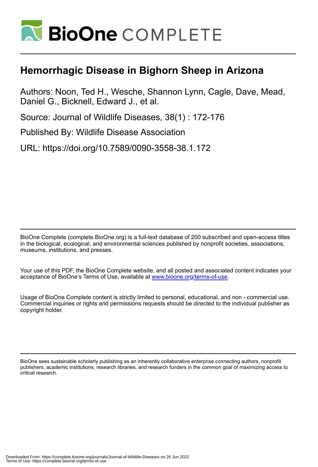

## **Hemorrhagic Disease in Bighorn Sheep in Arizona**

Authors: Noon, Ted H., Wesche, Shannon Lynn, Cagle, Dave, Mead, Daniel G., Bicknell, Edward J., et al.

Source: Journal of Wildlife Diseases, 38(1) : 172-176

Published By: Wildlife Disease Association

URL: https://doi.org/10.7589/0090-3558-38.1.172

BioOne Complete (complete.BioOne.org) is a full-text database of 200 subscribed and open-access titles in the biological, ecological, and environmental sciences published by nonprofit societies, associations, museums, institutions, and presses.

Your use of this PDF, the BioOne Complete website, and all posted and associated content indicates your acceptance of BioOne's Terms of Use, available at www.bioone.org/terms-of-use.

Usage of BioOne Complete content is strictly limited to personal, educational, and non - commercial use. Commercial inquiries or rights and permissions requests should be directed to the individual publisher as copyright holder.

BioOne sees sustainable scholarly publishing as an inherently collaborative enterprise connecting authors, nonprofit publishers, academic institutions, research libraries, and research funders in the common goal of maximizing access to critical research.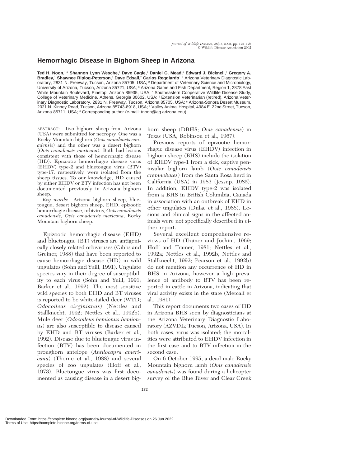## **Hemorrhagic Disease in Bighorn Sheep in Arizona**

**Ted H. Noon,**1,8 **Shannon Lynn Wesche,**<sup>2</sup> **Dave Cagle,**<sup>3</sup> **Daniel G. Mead,**<sup>4</sup> **Edward J. Bicknell,**<sup>5</sup> **Gregory A. Bradley,**<sup>1</sup> **Shawnee Riplog-Peterson,**<sup>6</sup> **Dave Edsall,**<sup>7</sup> **Carlos Reggiardo**1 1 Arizona Veterinary Diagnostic Laboratory, 2831 N. Freeway, Tucson, Arizona 85705, USA; <sup>2</sup> Department of Veterinary Science and Microbiology, University of Arizona, Tucson, Arizona 85721, USA; <sup>3</sup> Arizona Game and Fish Department, Region 1, 2878 East White Mountain Boulevard, Pinetop, Arizona 85935, USA; <sup>4</sup> Southeastern Cooperative Wildlife Disease Study, College of Veterinary Medicine, Athens, Georgia 30602, USA; <sup>5</sup> Extension Veterinarian (retired), Arizona Veterinary Diagnostic Laboratory, 2831 N. Freeway, Tucson, Arizona 85705, USA; <sup>6</sup> Arizona-Sonora Desert Museum, 2021 N. Kinney Road, Tucson, Arizona 85743-8918, USA; <sup>7</sup> Valley Animal Hospital, 4984 E. 22nd Street, Tucson, Arizona 85711, USA; <sup>8</sup> Corresponding author (e-mail: tnoon@ag.arizona.edu).

ABSTRACT: Two bighorn sheep from Arizona (USA) were submitted for necropsy. One was a Rocky Mountain bighorn (*Ovis canadensis canadensis*) and the other was a desert bighorn (*Ovis canadensis mexicana*). Both had lesions consistent with those of hemorrhagic disease (HD). Epizootic hemorrhagic disease virus (EHDV) type-2 and bluetongue virus (BTV) type-17, respectively, were isolated from the sheep tissues. To our knowledge, HD caused by either EHDV or BTV infection has not been documented previously in Arizona bighorn sheep.

*Key words:* Arizona bighorn sheep, bluetongue, desert bighorn sheep, EHD, epizootic hemorrhagic disease, orbivirus, *Ovis canadensis canadensis, Ovis canadensis mexicana,* Rocky Mountain bighorn sheep.

Epizootic hemorrhagic disease (EHD) and bluetongue (BT) viruses are antigenically closely related orbiviruses (Gibbs and Greiner, 1988) that have been reported to cause hemorrhagic disease (HD) in wild ungulates (Sohn and Yuill, 1991). Ungulate species vary in their degree of susceptibility to each virus (Sohn and Yuill, 1991; Barker et al., 1992). The most sensitive wild species to both EHD and BT viruses is reported to be white-tailed deer (WTD; *Odocoileus virginianus*) (Nettles and Stallknecht, 1992; Nettles et al., 1992b). Mule deer (*Odocoileus hemionus hemionus*) are also susceptible to disease caused by EHD and BT viruses (Barker et al., 1992). Disease due to bluetongue virus infection (BTV) has been documented in pronghorn antelope (*Antilocapra americana*) (Thorne et al., 1988) and several species of zoo ungulates (Hoff et al., 1973). Bluetongue virus was first documented as causing disease in a desert bighorn sheep (DBHS; *Ovis canadensis*) in Texas (USA; Robinson et al., 1967).

Previous reports of epizootic hemorrhagic disease virus (EHDV) infection in bighorn sheep (BHS) include the isolation of EHDV type-1 from a sick, captive peninsular bighorn lamb (*Ovis canadensis cremnobates*) from the Santa Rosa herd in California (USA) in 1983 (Jessup, 1985). In addition, EHDV type-2 was isolated from a BHS in British Columbia, Canada in association with an outbreak of EHD in other ungulates (Dulac et al., 1988). Lesions and clinical signs in the affected animals were not specifically described in either report.

Several excellent comprehensive reviews of HD (Trainer and Jochim, 1969; Hoff and Trainer, 1981; Nettles et al., 1992a; Nettles et al., 1992b; Nettles and Stallknecht, 1992; Pearson et al., 1992b) do not mention any occurrence of HD in BHS in Arizona, however a high prevalence of antibody to BTV has been reported in cattle in Arizona, indicating that viral activity exists in the state (Metcalf et al., 1981).

This report documents two cases of HD in Arizona BHS seen by diagnosticians at the Arizona Veterinary Diagnostic Laboratory (AZVDL; Tucson, Arizona, USA). In both cases, virus was isolated; the mortalities were attributed to EHDV infection in the first case and to BTV infection in the second case.

On 6 October 1995, a dead male Rocky Mountain bighorn lamb (*Ovis canadensis canadensis*) was found during a helicopter survey of the Blue River and Clear Creek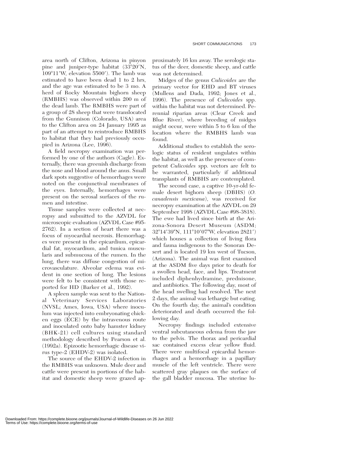area north of Clifton, Arizona in pinyon pine and juniper-type habitat (33°20'N, 109°11′W, elevation 5500′). The lamb was estimated to have been dead 1 to 2 hrs, and the age was estimated to be 3 mo. A herd of Rocky Mountain bighorn sheep (RMBHS) was observed within 200 m of the dead lamb. The RMBHS were part of a group of 28 sheep that were translocated from the Gunnison (Colorado, USA) area to the Clifton area on 24 January 1995 as part of an attempt to reintroduce RMBHS to habitat that they had previously occupied in Arizona (Lee, 1996).

A field necropsy examination was performed by one of the authors (Cagle). Externally, there was greenish discharge from the nose and blood around the anus. Small dark spots suggestive of hemorrhages were noted on the conjunctival membranes of the eyes. Internally, hemorrhages were present on the serosal surfaces of the rumen and intestine.

Tissue samples were collected at necropsy and submitted to the AZVDL for microscopic evaluation (AZVDL Case #95- 2762). In a section of heart there was a focus of myocardial necrosis. Hemorrhages were present in the epicardium, epicardial fat, myocardium, and tunica muscularis and submucosa of the rumen. In the lung, there was diffuse congestion of microvasculature. Alveolar edema was evident in one section of lung. The lesions were felt to be consistent with those reported for HD (Barker et al., 1992).

A spleen sample was sent to the National Veterinary Services Laboratories (NVSL; Ames, Iowa, USA) where inoculum was injected into embryonating chicken eggs (ECE) by the intravenous route and inoculated onto baby hamster kidney (BHK-21) cell cultures using standard methodology described by Pearson et al. (1992a). Epizootic hemorrhagic disease virus type-2 (EHDV-2) was isolated.

The source of the EHDV-2 infection in the RMBHS was unknown. Mule deer and cattle were present in portions of the habitat and domestic sheep were grazed ap-

proximately 16 km away. The serologic status of the deer, domestic sheep, and cattle was not determined.

Midges of the genus *Culicoides* are the primary vector for EHD and BT viruses (Mullens and Dada, 1992; Jones et al., 1996). The presence of *Culicoides* spp. within the habitat was not determined. Perennial riparian areas (Clear Creek and Blue River), where breeding of midges might occur, were within 5 to 6 km of the location where the RMBHS lamb was found.

Additional studies to establish the serologic status of resident ungulates within the habitat, as well as the presence of competent *Culicoides* spp. vectors are felt to be warranted, particularly if additional transplants of RMBHS are contemplated.

The second case, a captive 10-yr-old female desert bighorn sheep (DBHS) (*O. canadensis mexicana*), was received for necropsy examination at the AZVDL on 29 September 1998 (AZVDL Case #98-3818). The ewe had lived since birth at the Arizona-Sonora Desert Museum (ASDM; 32°14′39″N, 111°10′07″W, elevation 2821′) which houses a collection of living flora and fauna indigenous to the Sonoran Desert and is located 19 km west of Tucson, (Arizona). The animal was first examined at the ASDM five days prior to death for a swollen head, face, and lips. Treatment included diphenhydramine, prednisone, and antibiotics. The following day, most of the head swelling had resolved. The next 2 days, the animal was lethargic but eating. On the fourth day, the animal's condition deteriorated and death occurred the following day.

Necropsy findings included extensive ventral subcutaneous edema from the jaw to the pelvis. The thorax and pericardial sac contained excess clear yellow fluid. There were multifocal epicardial hemorrhages and a hemorrhage in a papillary muscle of the left ventricle. There were scattered gray plaques on the surface of the gall bladder mucosa. The uterine lu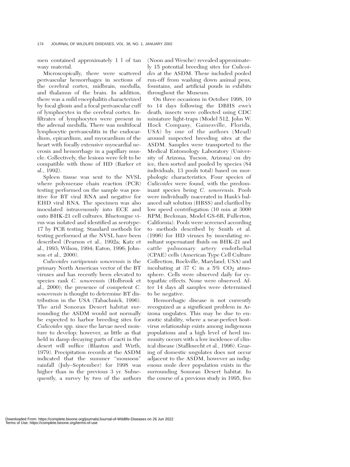men contained approximately 1 l of tan waxy material.

Microscopically, there were scattered perivascular hemorrhages in sections of the cerebral cortex, midbrain, medulla, and thalamus of the brain. In addition, there was a mild encephalitis characterized by focal gliosis and a focal perivascular cuff of lymphocytes in the cerebral cortex. Infiltrates of lymphocytes were present in the adrenal medulla. There was multifocal lymphocytic perivasculitis in the endocardium, epicardium, and myocardium of the heart with focally extensive myocardial necrosis and hemorrhage in a papillary muscle. Collectively, the lesions were felt to be compatible with those of HD (Barker et al., 1992).

Spleen tissue was sent to the NVSL where polymerase chain reaction (PCR) testing performed on the sample was positive for BT viral RNA and negative for EHD viral RNA. The specimen was also inoculated intravenously into ECE and onto BHK-21 cell cultures. Bluetongue virus was isolated and identified as serotype-17 by PCR testing. Standard methods for testing performed at the NVSL have been described (Pearson et al., 1992a; Katz et al., 1993; Wilson, 1994; Eaton, 1996; Johnson et al., 2000).

*Culicoides variipennis sonorensis* is the primary North American vector of the BT viruses and has recently been elevated to species rank *C. sonorensis* (Holbrook et al., 2000); the presence of competent *C. sonorensis* is thought to determine BT distribution in the USA (Tabachnick, 1996). The arid Sonoran Desert habitat surrounding the ASDM would not normally be expected to harbor breeding sites for *Culicoides* spp. since the larvae need moisture to develop; however, as little as that held in damp decaying parts of cacti in the desert will suffice (Blanton and Wirth, 1979). Precipitation records at the ASDM indicated that the summer ''monsoon'' rainfall (July–September) for 1998 was higher than in the previous 3 yr. Subsequently, a survey by two of the authors

(Noon and Wesche) revealed approximately 15 potential breeding sites for *Culicoides* at the ASDM. These included pooled run-off from washing down animal pens, fountains, and artificial ponds in exhibits throughout the Museum.

On three occasions in October 1998, 10 to 14 days following the DBHS ewe's death, insects were collected using CDC miniature light-traps (Model 512, John W. Hock Company, Gainesville, Florida, USA) by one of the authors (Mead) around suspected breeding sites at the ASDM. Samples were transported to the Medical Entomology Laboratory (University of Arizona, Tucson, Arizona) on dry ice, then sorted and pooled by species (84 individuals, 13 pools total) based on morphologic characteristics. Four species of *Culicoides* were found, with the predominant species being *C. sonorensis.* Pools were individually macerated in Hank's balanced salt solution (HBSS) and clarified by low speed centrifugation (10 min at 3000 RPM; Beckman, Model GS-6R, Fullerton, California). Pools were screened according to methods described by Smith et al. (1996) for HD viruses by inoculating resultant supernatant fluids on BHK-21 and cattle pulmonary artery endothelial (CPAE) cells (American Type Cell Culture Collection, Rockville, Maryland, USA) and incubating at 37 C in a  $5\%$  CO<sub>2</sub> atmosphere. Cells were observed daily for cytopathic effects. None were observed. After 14 days all samples were determined to be negative.

Hemorrhagic disease is not currently recognized as a significant problem in Arizona ungulates. This may be due to enzootic stability, where a near-perfect hostvirus relationship exists among indigenous populations and a high level of herd immunity occurs with a low incidence of clinical disease (Stallknecht et al., 1996). Grazing of domestic ungulates does not occur adjacent to the ASDM, however an indigenous mule deer population exists in the surrounding Sonoran Desert habitat. In the course of a previous study in 1995, five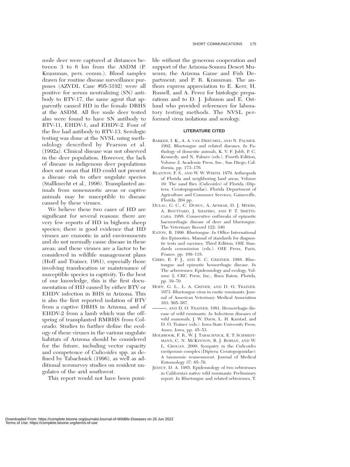mule deer were captured at distances between 3 to 6 km from the ASDM (P. Krausman, pers. comm.). Blood samples drawn for routine disease surveillance purposes (AZVDL Case #95-3192) were all positive for serum neutralizing (SN) antibody to BTV-17, the same agent that apparently caused HD in the female DBHS at the ASDM. All five mule deer tested also were found to have SN antibody to BTV-11, EHDV-1, and EHDV-2. Four of the five had antibody to BTV-13. Serologic testing was done at the NVSL using methodology described by Pearson et al. (1992a). Clinical disease was not observed in the deer population. However, the lack of disease in indigenous deer populations does not mean that HD could not present a disease risk to other ungulate species (Stallknecht et al., 1996). Transplanted animals from nonenzootic areas or captive animals may be susceptible to disease caused by these viruses.

We believe these two cases of HD are significant for several reasons: there are very few reports of HD in bighorn sheep species; there is good evidence that HD viruses are enzootic in arid environments and do not normally cause disease in these areas; and these viruses are a factor to be considered in wildlife management plans (Hoff and Trainer, 1981), especially those involving translocation or maintenance of susceptible species in captivity. To the best of our knowledge, this is the first documentation of HD caused by either BTV or EHDV infection in BHS in Arizona. This is also the first reported isolation of BTV from a captive DBHS in Arizona, and of EHDV-2 from a lamb which was the offspring of transplanted RMBHS from Colorado. Studies to further define the ecology of these viruses in the various ungulate habitats of Arizona should be considered for the future, including vector capacity and competence of *Culicoides* spp. as defined by Tabachnick (1996), as well as additional serosurvey studies on resident ungulates of the arid southwest.

This report would not have been possi-

ble without the generous cooperation and support of the Arizona-Sonora Desert Museum; the Arizona Game and Fish Department; and P. R. Krausman. The authors express appreciation to E. Kerr, H. Russell, and A. Perez for histologic preparations and to D. J. Johnson and E. Ostlund who provided references for laboratory testing methods. The NVSL performed virus isolations and serology.

## **LITERATURE CITED**

- BARKER, I. K., A. A. VAN DREUMEL, AND N. PALMER. 1992. Bluetongue and related diseases. *In* Pathology of domestic animals, K. V. F. Jubb, P. C. Kennedy, and N. Palmer (eds.). Fourth Edition, Volume 2. Academic Press, Inc., San Diego, California, pp. 173–176.
- BLANTON, F. S., AND W. W. WIRTH. 1979. Arthropods of Florida and neighboring land areas, Volume 10: The sand flies (*Culicoides*) of Florida (Diptera: Ceratopogonidae). Florida Department of Agriculture and Consumer Services, Gainesville, Florida, 204 pp.
- DULAC, G. C., C. DUBUC, A. AFSHAR, D. J. MYERS, A. BOUTTARD, J. SHAPIRO, AND P. T. SHETTI-GARA. 1988. Consecutive outbreaks of epizootic haemorrhagic disease of deer and bluetongue. The Veterinary Record 122: 340.
- EATON, B. 1996. Bluetongue. *In* Office International des Epizooties, Manual of standards for diagnostic tests and vaccines, Third Edition, OIE Standards commission (eds.). OIE Press, Paris, France, pp. 109–118.
- GIBBS, E. P. J., AND E. C. GREINER. 1988. Bluetongue and epizootic hemorrhagic disease. *In* The arboviruses: Epidemiology and ecology, Volume 2, CRC Press, Inc., Boca Raton, Florida, pp. 39–70.
- HOFF, G. L., L. A. GRINER, AND D. O. TRAINER. 1973. Bluetongue virus in exotic ruminants. Journal of American Veterinary Medical Association 163: 565–567.
- , AND D. O. TRAINER. 1981. Hemorrhagic disease of wild ruminants. *In* Infectious diseases of wild mammals, J. W. Davis, L. H. Karstad, and D. O. Trainer (eds.). Iowa State University Press, Ames, Iowa, pp. 45–53.
- HOLBROOK, F. R., W. J. TABACHNICK, E. T. SCHMIDT-MANN, C. N. MCKINNON, R. J. BOBIAN, AND W. L. GROGAN. 2000. Sympatry in the *Culicoides variipennis* complex (Diptera: Ceratopogonidae): A taxonomic reassessment. Journal of Medical Entomology 37: 65–76.
- JESSUP, D. A. 1985. Epidemiology of two orbiviruses in California's native wild ruminants: Preliminary report. *In* Bluetongue and related orbiviruses, T.